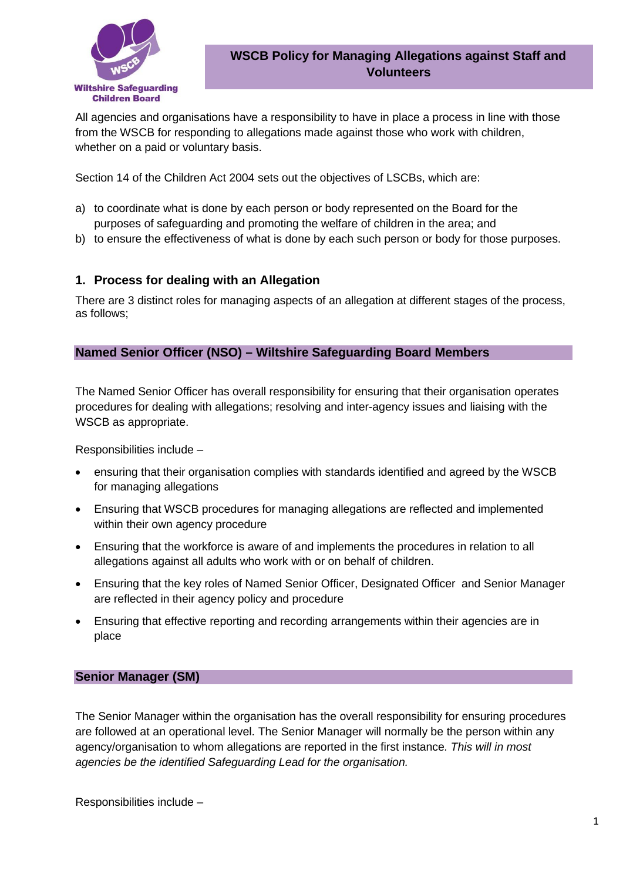

## **WSCB Policy for Managing Allegations against Staff and Volunteers**

All agencies and organisations have a responsibility to have in place a process in line with those from the WSCB for responding to allegations made against those who work with children, whether on a paid or voluntary basis.

Section 14 of the Children Act 2004 sets out the objectives of LSCBs, which are:

- a) to coordinate what is done by each person or body represented on the Board for the purposes of safeguarding and promoting the welfare of children in the area; and
- b) to ensure the effectiveness of what is done by each such person or body for those purposes.

#### **1. Process for dealing with an Allegation**

There are 3 distinct roles for managing aspects of an allegation at different stages of the process, as follows;

#### **Named Senior Officer (NSO) – Wiltshire Safeguarding Board Members**

The Named Senior Officer has overall responsibility for ensuring that their organisation operates procedures for dealing with allegations; resolving and inter-agency issues and liaising with the WSCB as appropriate.

Responsibilities include –

- ensuring that their organisation complies with standards identified and agreed by the WSCB for managing allegations
- Ensuring that WSCB procedures for managing allegations are reflected and implemented within their own agency procedure
- Ensuring that the workforce is aware of and implements the procedures in relation to all allegations against all adults who work with or on behalf of children.
- Ensuring that the key roles of Named Senior Officer, Designated Officer and Senior Manager are reflected in their agency policy and procedure
- Ensuring that effective reporting and recording arrangements within their agencies are in place

### **Senior Manager (SM)**

The Senior Manager within the organisation has the overall responsibility for ensuring procedures are followed at an operational level. The Senior Manager will normally be the person within any agency/organisation to whom allegations are reported in the first instance*. This will in most agencies be the identified Safeguarding Lead for the organisation.*

Responsibilities include –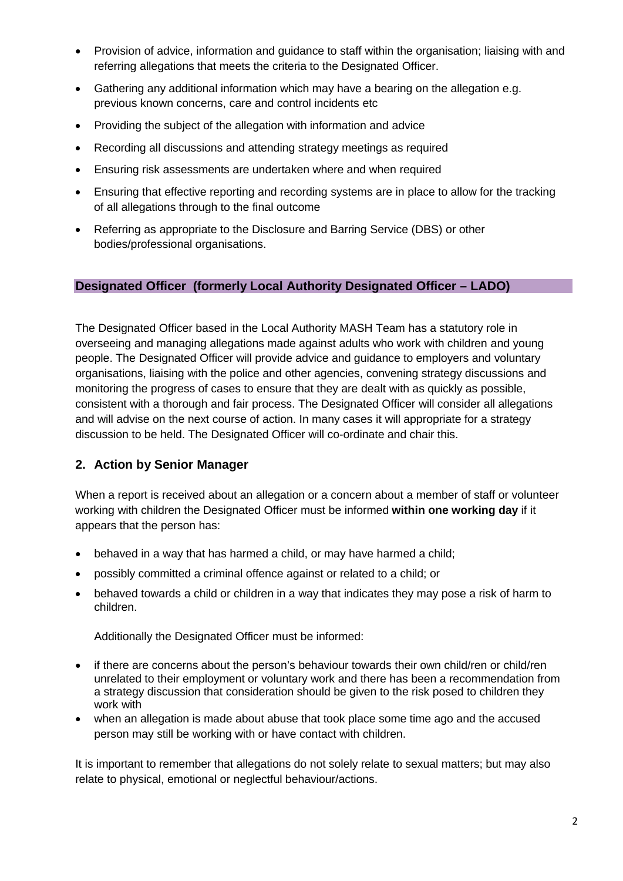- Provision of advice, information and guidance to staff within the organisation; liaising with and referring allegations that meets the criteria to the Designated Officer.
- Gathering any additional information which may have a bearing on the allegation e.g. previous known concerns, care and control incidents etc
- Providing the subject of the allegation with information and advice
- Recording all discussions and attending strategy meetings as required
- Ensuring risk assessments are undertaken where and when required
- Ensuring that effective reporting and recording systems are in place to allow for the tracking of all allegations through to the final outcome
- Referring as appropriate to the Disclosure and Barring Service (DBS) or other bodies/professional organisations.

#### **Designated Officer (formerly Local Authority Designated Officer – LADO)**

The Designated Officer based in the Local Authority MASH Team has a statutory role in overseeing and managing allegations made against adults who work with children and young people. The Designated Officer will provide advice and guidance to employers and voluntary organisations, liaising with the police and other agencies, convening strategy discussions and monitoring the progress of cases to ensure that they are dealt with as quickly as possible, consistent with a thorough and fair process. The Designated Officer will consider all allegations and will advise on the next course of action. In many cases it will appropriate for a strategy discussion to be held. The Designated Officer will co-ordinate and chair this.

### **2. Action by Senior Manager**

When a report is received about an allegation or a concern about a member of staff or volunteer working with children the Designated Officer must be informed **within one working day** if it appears that the person has:

- behaved in a way that has harmed a child, or may have harmed a child;
- possibly committed a criminal offence against or related to a child; or
- behaved towards a child or children in a way that indicates they may pose a risk of harm to children.

Additionally the Designated Officer must be informed:

- if there are concerns about the person's behaviour towards their own child/ren or child/ren unrelated to their employment or voluntary work and there has been a recommendation from a strategy discussion that consideration should be given to the risk posed to children they work with
- when an allegation is made about abuse that took place some time ago and the accused person may still be working with or have contact with children.

It is important to remember that allegations do not solely relate to sexual matters; but may also relate to physical, emotional or neglectful behaviour/actions.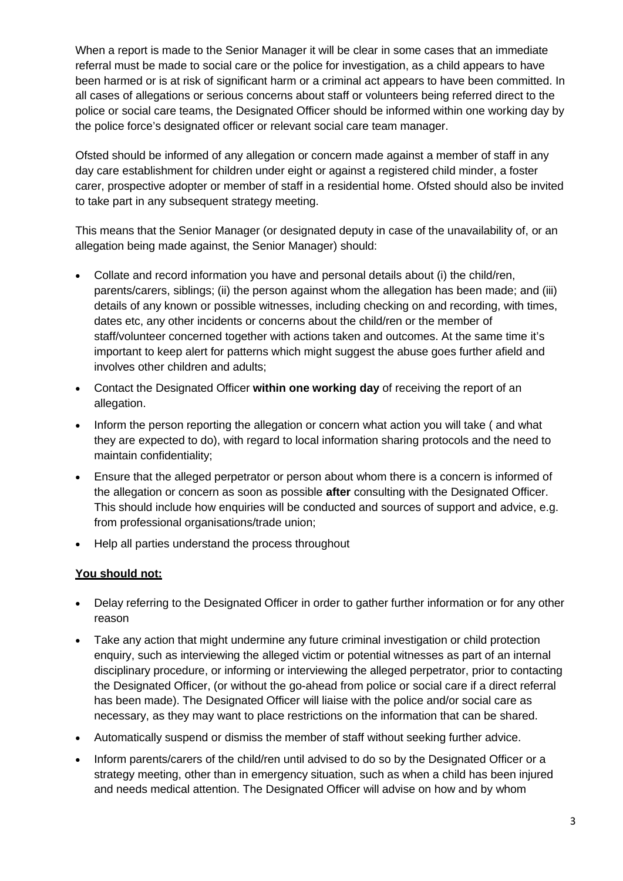When a report is made to the Senior Manager it will be clear in some cases that an immediate referral must be made to social care or the police for investigation, as a child appears to have been harmed or is at risk of significant harm or a criminal act appears to have been committed. In all cases of allegations or serious concerns about staff or volunteers being referred direct to the police or social care teams, the Designated Officer should be informed within one working day by the police force's designated officer or relevant social care team manager.

Ofsted should be informed of any allegation or concern made against a member of staff in any day care establishment for children under eight or against a registered child minder, a foster carer, prospective adopter or member of staff in a residential home. Ofsted should also be invited to take part in any subsequent strategy meeting.

This means that the Senior Manager (or designated deputy in case of the unavailability of, or an allegation being made against, the Senior Manager) should:

- Collate and record information you have and personal details about (i) the child/ren, parents/carers, siblings; (ii) the person against whom the allegation has been made; and (iii) details of any known or possible witnesses, including checking on and recording, with times, dates etc, any other incidents or concerns about the child/ren or the member of staff/volunteer concerned together with actions taken and outcomes. At the same time it's important to keep alert for patterns which might suggest the abuse goes further afield and involves other children and adults;
- Contact the Designated Officer **within one working day** of receiving the report of an allegation.
- Inform the person reporting the allegation or concern what action you will take ( and what they are expected to do), with regard to local information sharing protocols and the need to maintain confidentiality;
- Ensure that the alleged perpetrator or person about whom there is a concern is informed of the allegation or concern as soon as possible **after** consulting with the Designated Officer. This should include how enquiries will be conducted and sources of support and advice, e.g. from professional organisations/trade union;
- Help all parties understand the process throughout

### **You should not:**

- Delay referring to the Designated Officer in order to gather further information or for any other reason
- Take any action that might undermine any future criminal investigation or child protection enquiry, such as interviewing the alleged victim or potential witnesses as part of an internal disciplinary procedure, or informing or interviewing the alleged perpetrator, prior to contacting the Designated Officer, (or without the go-ahead from police or social care if a direct referral has been made). The Designated Officer will liaise with the police and/or social care as necessary, as they may want to place restrictions on the information that can be shared.
- Automatically suspend or dismiss the member of staff without seeking further advice.
- Inform parents/carers of the child/ren until advised to do so by the Designated Officer or a strategy meeting, other than in emergency situation, such as when a child has been injured and needs medical attention. The Designated Officer will advise on how and by whom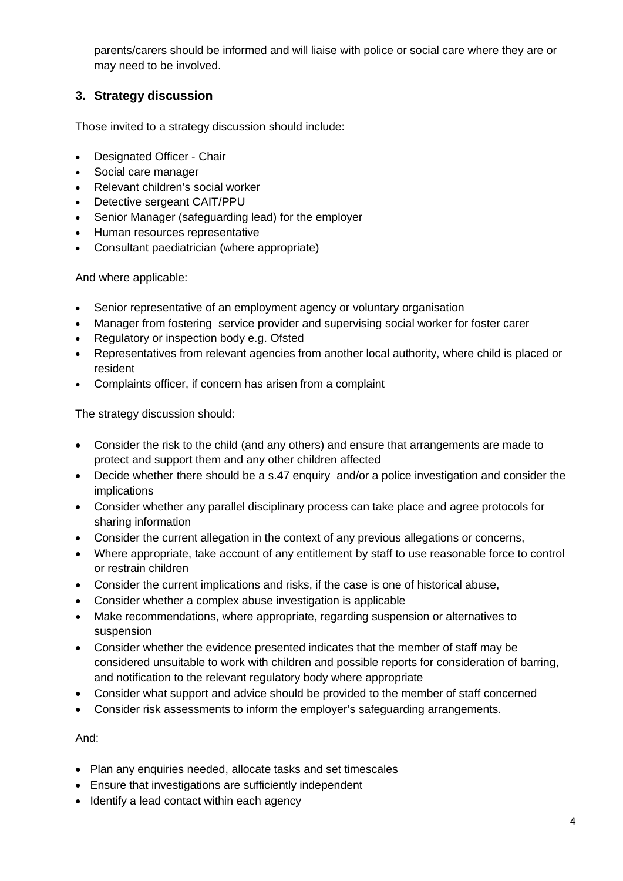parents/carers should be informed and will liaise with police or social care where they are or may need to be involved.

## **3. Strategy discussion**

Those invited to a strategy discussion should include:

- Designated Officer Chair
- Social care manager
- Relevant children's social worker
- Detective sergeant CAIT/PPU
- Senior Manager (safeguarding lead) for the employer
- Human resources representative
- Consultant paediatrician (where appropriate)

And where applicable:

- Senior representative of an employment agency or voluntary organisation
- Manager from fostering service provider and supervising social worker for foster carer
- Regulatory or inspection body e.g. Ofsted
- Representatives from relevant agencies from another local authority, where child is placed or resident
- Complaints officer, if concern has arisen from a complaint

The strategy discussion should:

- Consider the risk to the child (and any others) and ensure that arrangements are made to protect and support them and any other children affected
- Decide whether there should be a s.47 enquiry and/or a police investigation and consider the implications
- Consider whether any parallel disciplinary process can take place and agree protocols for sharing information
- Consider the current allegation in the context of any previous allegations or concerns,
- Where appropriate, take account of any entitlement by staff to use reasonable force to control or restrain children
- Consider the current implications and risks, if the case is one of historical abuse,
- Consider whether a complex abuse investigation is applicable
- Make recommendations, where appropriate, regarding suspension or alternatives to suspension
- Consider whether the evidence presented indicates that the member of staff may be considered unsuitable to work with children and possible reports for consideration of barring, and notification to the relevant regulatory body where appropriate
- Consider what support and advice should be provided to the member of staff concerned
- Consider risk assessments to inform the employer's safeguarding arrangements.

And:

- Plan any enquiries needed, allocate tasks and set timescales
- Ensure that investigations are sufficiently independent
- Identify a lead contact within each agency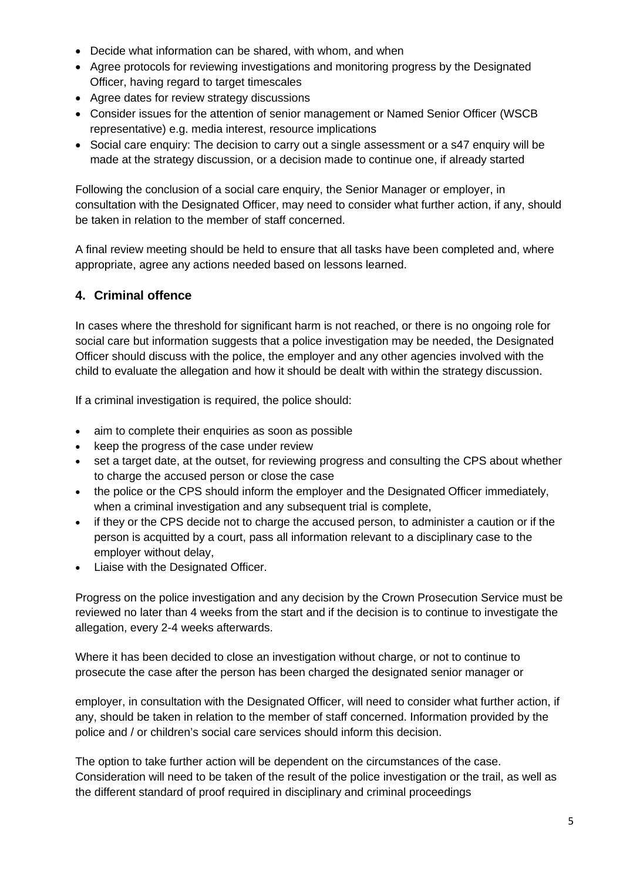- Decide what information can be shared, with whom, and when
- Agree protocols for reviewing investigations and monitoring progress by the Designated Officer, having regard to target timescales
- Agree dates for review strategy discussions
- Consider issues for the attention of senior management or Named Senior Officer (WSCB representative) e.g. media interest, resource implications
- Social care enquiry: The decision to carry out a single assessment or a s47 enquiry will be made at the strategy discussion, or a decision made to continue one, if already started

Following the conclusion of a social care enquiry, the Senior Manager or employer, in consultation with the Designated Officer, may need to consider what further action, if any, should be taken in relation to the member of staff concerned.

A final review meeting should be held to ensure that all tasks have been completed and, where appropriate, agree any actions needed based on lessons learned.

# **4. Criminal offence**

In cases where the threshold for significant harm is not reached, or there is no ongoing role for social care but information suggests that a police investigation may be needed, the Designated Officer should discuss with the police, the employer and any other agencies involved with the child to evaluate the allegation and how it should be dealt with within the strategy discussion.

If a criminal investigation is required, the police should:

- aim to complete their enquiries as soon as possible
- keep the progress of the case under review
- set a target date, at the outset, for reviewing progress and consulting the CPS about whether to charge the accused person or close the case
- the police or the CPS should inform the employer and the Designated Officer immediately, when a criminal investigation and any subsequent trial is complete,
- if they or the CPS decide not to charge the accused person, to administer a caution or if the person is acquitted by a court, pass all information relevant to a disciplinary case to the employer without delay,
- Liaise with the Designated Officer.

Progress on the police investigation and any decision by the Crown Prosecution Service must be reviewed no later than 4 weeks from the start and if the decision is to continue to investigate the allegation, every 2-4 weeks afterwards.

Where it has been decided to close an investigation without charge, or not to continue to prosecute the case after the person has been charged the designated senior manager or

employer, in consultation with the Designated Officer, will need to consider what further action, if any, should be taken in relation to the member of staff concerned. Information provided by the police and / or children's social care services should inform this decision.

The option to take further action will be dependent on the circumstances of the case. Consideration will need to be taken of the result of the police investigation or the trail, as well as the different standard of proof required in disciplinary and criminal proceedings